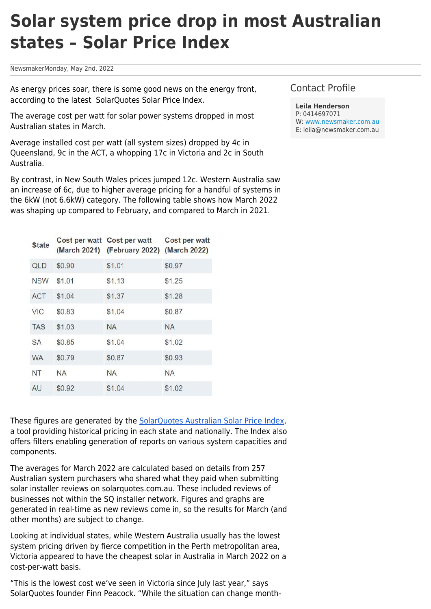## **Solar system price drop in most Australian states – Solar Price Index**

NewsmakerMonday, May 2nd, 2022

As energy prices soar, there is some good news on the energy front, according to the latest SolarQuotes Solar Price Index.

The average cost per watt for solar power systems dropped in most Australian states in March.

Average installed cost per watt (all system sizes) dropped by 4c in Queensland, 9c in the ACT, a whopping 17c in Victoria and 2c in South Australia.

By contrast, in New South Wales prices jumped 12c. Western Australia saw an increase of 6c, due to higher average pricing for a handful of systems in the 6kW (not 6.6kW) category. The following table shows how March 2022 was shaping up compared to February, and compared to March in 2021.

| <b>State</b> |           | Cost per watt Cost per watt<br>(March 2021) (February 2022) | Cost per watt<br>(March 2022) |
|--------------|-----------|-------------------------------------------------------------|-------------------------------|
| <b>QLD</b>   | \$0.90    | \$1.01                                                      | \$0.97                        |
| <b>NSW</b>   | \$1.01    | \$1.13                                                      | \$1.25                        |
| <b>ACT</b>   | \$1.04    | \$1.37                                                      | \$1.28                        |
| <b>VIC</b>   | \$0.83    | \$1.04                                                      | \$0.87                        |
| <b>TAS</b>   | \$1.03    | <b>NA</b>                                                   | <b>NA</b>                     |
| <b>SA</b>    | \$0.85    | \$1.04                                                      | \$1.02                        |
| <b>WA</b>    | \$0.79    | \$0.87                                                      | \$0.93                        |
| <b>NT</b>    | <b>NA</b> | <b>NA</b>                                                   | <b>NA</b>                     |
| AU           | \$0.92    | \$1.04                                                      | \$1.02                        |

These figures are generated by the [SolarQuotes Australian Solar Price Index,](https://www.solarquotes.com.au/price-explorer/) a tool providing historical pricing in each state and nationally. The Index also offers filters enabling generation of reports on various system capacities and components.

The averages for March 2022 are calculated based on details from 257 Australian system purchasers who shared what they paid when submitting solar installer reviews on solarquotes.com.au. These included reviews of businesses not within the SQ installer network. Figures and graphs are generated in real-time as new reviews come in, so the results for March (and other months) are subject to change.

Looking at individual states, while Western Australia usually has the lowest system pricing driven by fierce competition in the Perth metropolitan area, Victoria appeared to have the cheapest solar in Australia in March 2022 on a cost-per-watt basis.

"This is the lowest cost we've seen in Victoria since July last year," says SolarQuotes founder Finn Peacock. "While the situation can change month-

## Contact Profile

**Leila Henderson** P: 0414697071 W: [www.newsmaker.com.au](http://www.newsmaker.com.au) E: leila@newsmaker.com.au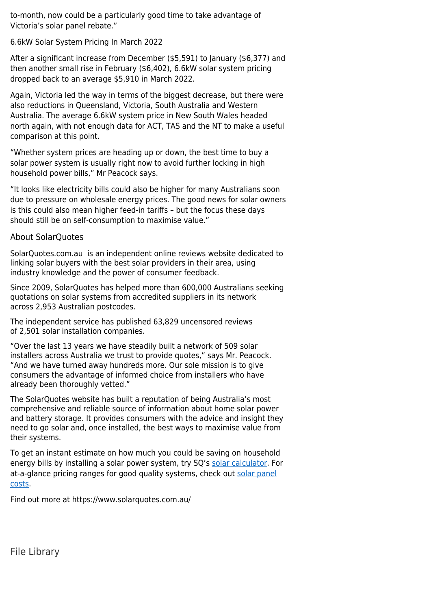to-month, now could be a particularly good time to take advantage of Victoria's solar panel rebate."

6.6kW Solar System Pricing In March 2022

After a significant increase from December (\$5,591) to January (\$6,377) and then another small rise in February (\$6,402), 6.6kW solar system pricing dropped back to an average \$5,910 in March 2022.

Again, Victoria led the way in terms of the biggest decrease, but there were also reductions in Queensland, Victoria, South Australia and Western Australia. The average 6.6kW system price in New South Wales headed north again, with not enough data for ACT, TAS and the NT to make a useful comparison at this point.

"Whether system prices are heading up or down, the best time to buy a solar power system is usually right now to avoid further locking in high household power bills," Mr Peacock says.

"It looks like electricity bills could also be higher for many Australians soon due to pressure on wholesale energy prices. The good news for solar owners is this could also mean higher feed-in tariffs – but the focus these days should still be on self-consumption to maximise value."

## About SolarQuotes

SolarQuotes.com.au is an independent online reviews website dedicated to linking solar buyers with the best solar providers in their area, using industry knowledge and the power of consumer feedback.

Since 2009, SolarQuotes has helped more than 600,000 Australians seeking quotations on solar systems from accredited suppliers in its network across 2,953 Australian postcodes.

The independent service has published 63,829 uncensored reviews of 2,501 solar installation companies.

"Over the last 13 years we have steadily built a network of 509 solar installers across Australia we trust to provide quotes," says Mr. Peacock. "And we have turned away hundreds more. Our sole mission is to give consumers the advantage of informed choice from installers who have already been thoroughly vetted."

The SolarQuotes website has built a reputation of being Australia's most comprehensive and reliable source of information about home solar power and battery storage. It provides consumers with the advice and insight they need to go solar and, once installed, the best ways to maximise value from their systems.

To get an instant estimate on how much you could be saving on household energy bills by installing a solar power system, try SQ's [solar calculator.](https://www.solarquotes.com.au/solar-calculator/) For at-a-glance pricing ranges for good quality systems, check out [solar panel](https://www.solarquotes.com.au/panels/cost/) [costs.](https://www.solarquotes.com.au/panels/cost/)

Find out more at https://www.solarquotes.com.au/